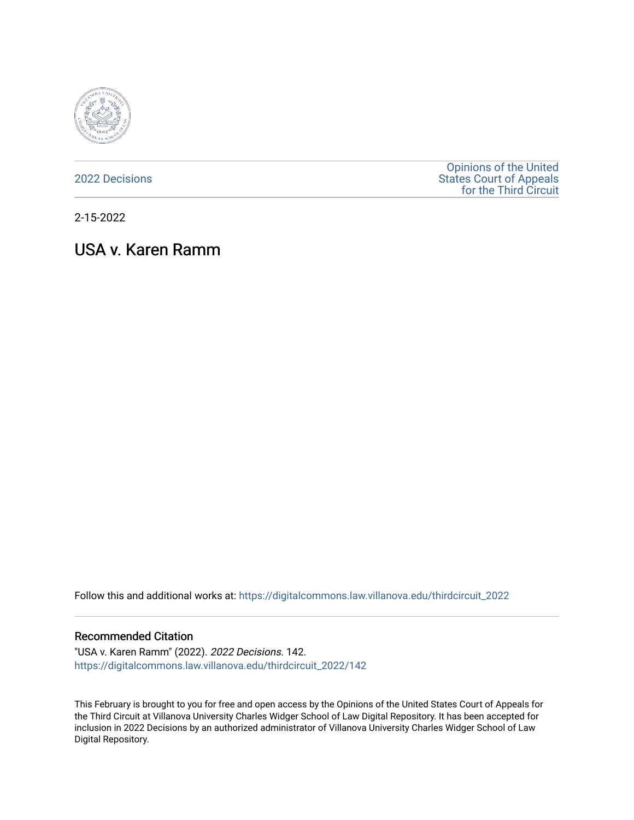

[2022 Decisions](https://digitalcommons.law.villanova.edu/thirdcircuit_2022)

[Opinions of the United](https://digitalcommons.law.villanova.edu/thirdcircuit)  [States Court of Appeals](https://digitalcommons.law.villanova.edu/thirdcircuit)  [for the Third Circuit](https://digitalcommons.law.villanova.edu/thirdcircuit) 

2-15-2022

# USA v. Karen Ramm

Follow this and additional works at: [https://digitalcommons.law.villanova.edu/thirdcircuit\\_2022](https://digitalcommons.law.villanova.edu/thirdcircuit_2022?utm_source=digitalcommons.law.villanova.edu%2Fthirdcircuit_2022%2F142&utm_medium=PDF&utm_campaign=PDFCoverPages) 

### Recommended Citation

"USA v. Karen Ramm" (2022). 2022 Decisions. 142. [https://digitalcommons.law.villanova.edu/thirdcircuit\\_2022/142](https://digitalcommons.law.villanova.edu/thirdcircuit_2022/142?utm_source=digitalcommons.law.villanova.edu%2Fthirdcircuit_2022%2F142&utm_medium=PDF&utm_campaign=PDFCoverPages)

This February is brought to you for free and open access by the Opinions of the United States Court of Appeals for the Third Circuit at Villanova University Charles Widger School of Law Digital Repository. It has been accepted for inclusion in 2022 Decisions by an authorized administrator of Villanova University Charles Widger School of Law Digital Repository.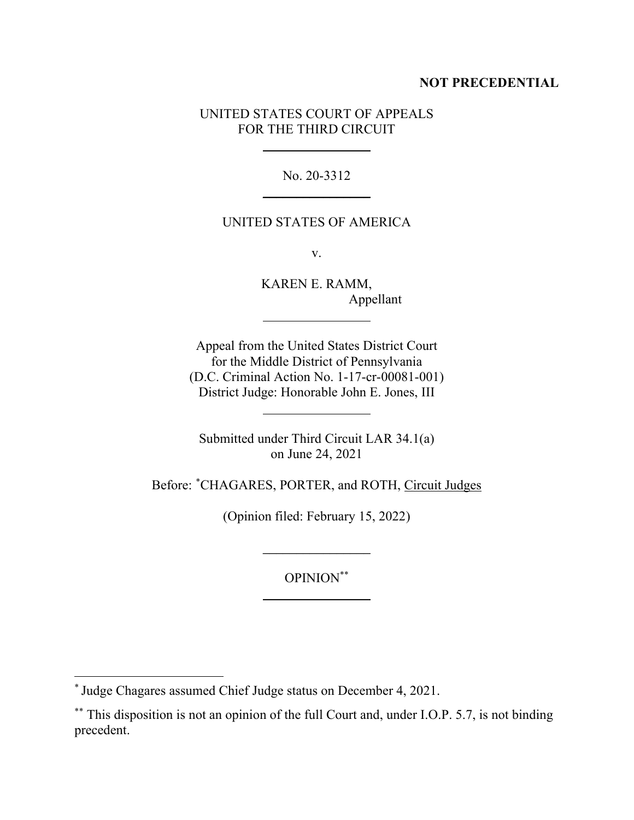## **NOT PRECEDENTIAL**

## UNITED STATES COURT OF APPEALS FOR THE THIRD CIRCUIT

No. 20-3312  $\overline{\phantom{a}}$  , where  $\overline{\phantom{a}}$ 

## UNITED STATES OF AMERICA

v.

KAREN E. RAMM, Appellant

Appeal from the United States District Court for the Middle District of Pennsylvania (D.C. Criminal Action No. 1-17-cr-00081-001) District Judge: Honorable John E. Jones, III

Submitted under Third Circuit LAR 34.1(a) on June 24, 2021

Before: \*CHAGARES, PORTER, and ROTH, Circuit Judges

(Opinion filed: February 15, 2022)

 $\overline{\phantom{a}}$  , where  $\overline{\phantom{a}}$ 

OPINION\*\*

<sup>\*</sup> Judge Chagares assumed Chief Judge status on December 4, 2021.

<sup>\*\*</sup> This disposition is not an opinion of the full Court and, under I.O.P. 5.7, is not binding precedent.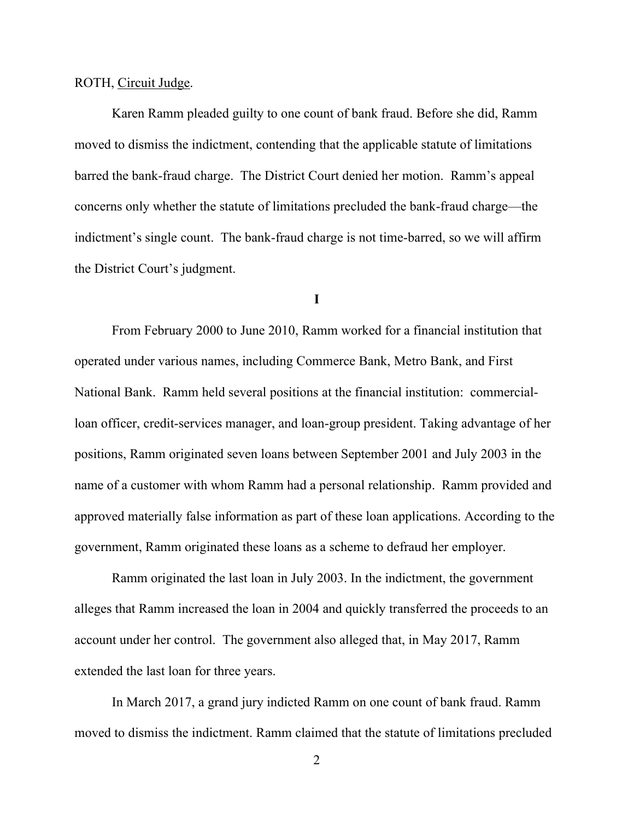### ROTH, Circuit Judge.

Karen Ramm pleaded guilty to one count of bank fraud. Before she did, Ramm moved to dismiss the indictment, contending that the applicable statute of limitations barred the bank-fraud charge. The District Court denied her motion. Ramm's appeal concerns only whether the statute of limitations precluded the bank-fraud charge—the indictment's single count. The bank-fraud charge is not time-barred, so we will affirm the District Court's judgment.

#### **I**

From February 2000 to June 2010, Ramm worked for a financial institution that operated under various names, including Commerce Bank, Metro Bank, and First National Bank. Ramm held several positions at the financial institution: commercialloan officer, credit-services manager, and loan-group president. Taking advantage of her positions, Ramm originated seven loans between September 2001 and July 2003 in the name of a customer with whom Ramm had a personal relationship. Ramm provided and approved materially false information as part of these loan applications. According to the government, Ramm originated these loans as a scheme to defraud her employer.

Ramm originated the last loan in July 2003. In the indictment, the government alleges that Ramm increased the loan in 2004 and quickly transferred the proceeds to an account under her control. The government also alleged that, in May 2017, Ramm extended the last loan for three years.

In March 2017, a grand jury indicted Ramm on one count of bank fraud. Ramm moved to dismiss the indictment. Ramm claimed that the statute of limitations precluded

2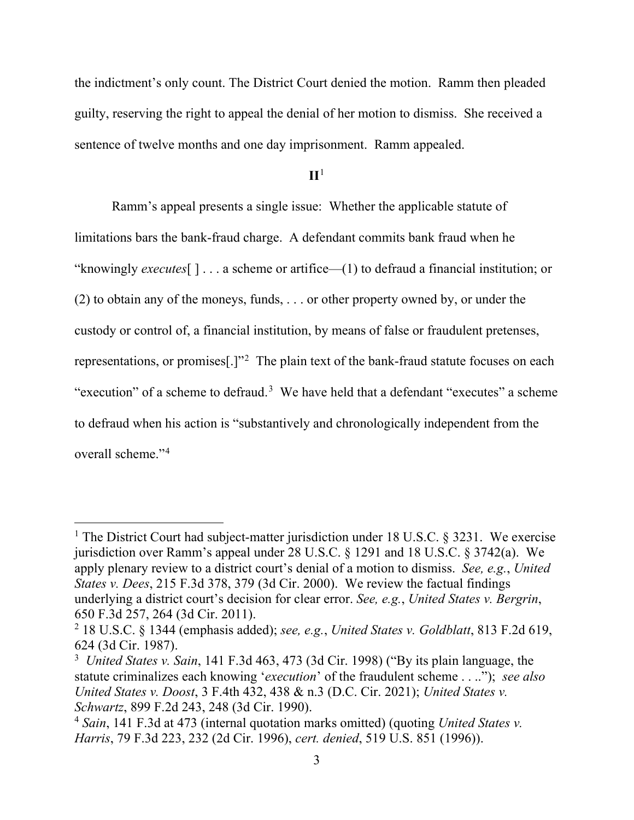the indictment's only count. The District Court denied the motion. Ramm then pleaded guilty, reserving the right to appeal the denial of her motion to dismiss. She received a sentence of twelve months and one day imprisonment. Ramm appealed.

**II**<sup>1</sup>

Ramm's appeal presents a single issue: Whether the applicable statute of limitations bars the bank-fraud charge. A defendant commits bank fraud when he "knowingly *executes*[ ] . . . a scheme or artifice—(1) to defraud a financial institution; or (2) to obtain any of the moneys, funds, . . . or other property owned by, or under the custody or control of, a financial institution, by means of false or fraudulent pretenses, representations, or promises[.]"2 The plain text of the bank-fraud statute focuses on each "execution" of a scheme to defraud.<sup>3</sup> We have held that a defendant "executes" a scheme to defraud when his action is "substantively and chronologically independent from the overall scheme."4

<sup>&</sup>lt;sup>1</sup> The District Court had subject-matter jurisdiction under 18 U.S.C. § 3231. We exercise jurisdiction over Ramm's appeal under 28 U.S.C. § 1291 and 18 U.S.C. § 3742(a). We apply plenary review to a district court's denial of a motion to dismiss. *See, e.g.*, *United States v. Dees*, 215 F.3d 378, 379 (3d Cir. 2000). We review the factual findings underlying a district court's decision for clear error. *See, e.g.*, *United States v. Bergrin*, 650 F.3d 257, 264 (3d Cir. 2011).

<sup>2</sup> 18 U.S.C. § 1344 (emphasis added); *see, e.g.*, *United States v. Goldblatt*, 813 F.2d 619, 624 (3d Cir. 1987).

<sup>3</sup> *United States v. Sain*, 141 F.3d 463, 473 (3d Cir. 1998) ("By its plain language, the statute criminalizes each knowing '*execution*' of the fraudulent scheme . . .."); *see also United States v. Doost*, 3 F.4th 432, 438 & n.3 (D.C. Cir. 2021); *United States v. Schwartz*, 899 F.2d 243, 248 (3d Cir. 1990).

<sup>4</sup> *Sain*, 141 F.3d at 473 (internal quotation marks omitted) (quoting *United States v. Harris*, 79 F.3d 223, 232 (2d Cir. 1996), *cert. denied*, 519 U.S. 851 (1996)).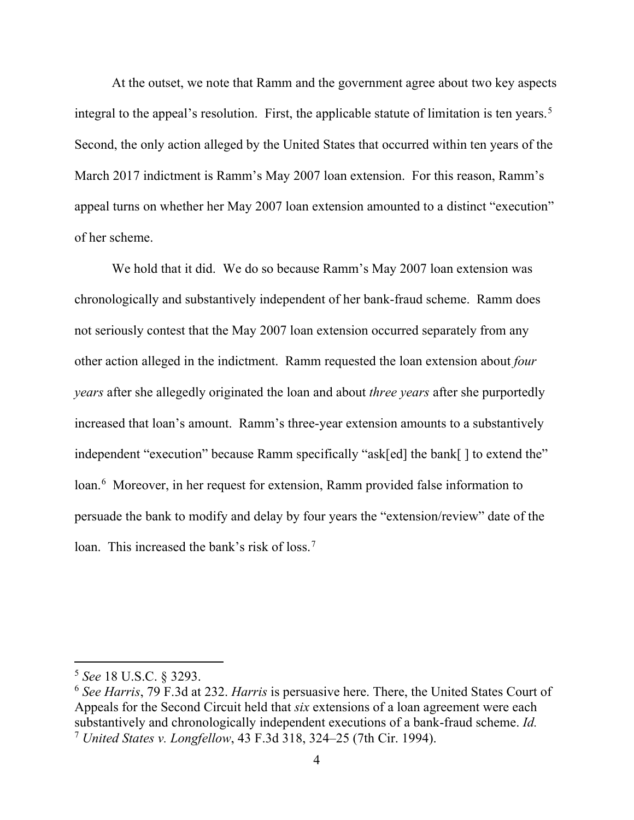At the outset, we note that Ramm and the government agree about two key aspects integral to the appeal's resolution. First, the applicable statute of limitation is ten years.<sup>5</sup> Second, the only action alleged by the United States that occurred within ten years of the March 2017 indictment is Ramm's May 2007 loan extension. For this reason, Ramm's appeal turns on whether her May 2007 loan extension amounted to a distinct "execution" of her scheme.

We hold that it did. We do so because Ramm's May 2007 loan extension was chronologically and substantively independent of her bank-fraud scheme. Ramm does not seriously contest that the May 2007 loan extension occurred separately from any other action alleged in the indictment. Ramm requested the loan extension about *four years* after she allegedly originated the loan and about *three years* after she purportedly increased that loan's amount. Ramm's three-year extension amounts to a substantively independent "execution" because Ramm specifically "ask[ed] the bank[ ] to extend the" loan.<sup>6</sup> Moreover, in her request for extension, Ramm provided false information to persuade the bank to modify and delay by four years the "extension/review" date of the loan. This increased the bank's risk of loss.<sup>7</sup>

<sup>5</sup> *See* 18 U.S.C. § 3293.

<sup>6</sup> *See Harris*, 79 F.3d at 232. *Harris* is persuasive here. There, the United States Court of Appeals for the Second Circuit held that *six* extensions of a loan agreement were each substantively and chronologically independent executions of a bank-fraud scheme. *Id.* <sup>7</sup> *United States v. Longfellow*, 43 F.3d 318, 324–25 (7th Cir. 1994).